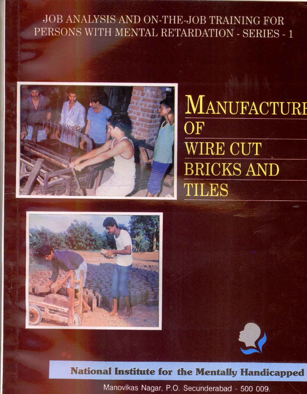## JOB ANALYSIS AND ON-THE-JOB TRAINING FOR PERSONS WITH MENTAL RETARDATION - SERIES - 1



# MANUFACTURE  $\overline{\text{OF}}$ **WIRE CUT BRICKS AND** TILES





### National Institute for the Mentally Handicapped

Manovikas Nagar, P.O. Secunderabad - 500 009.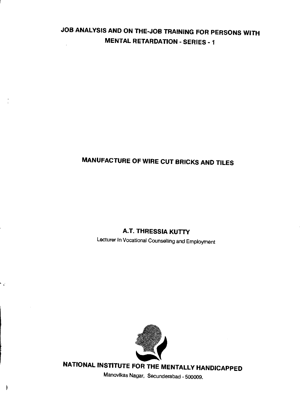### JOB ANALYSIS AND ON THE-JOB TRAINING FOR PERSONS WITH MENTAL RETARDATION - SERIES - 1

### MANUFACTURE OF WIRE CUT BRICKS AND TILES

### **A.T. THRESSIA KUTTY**

Lecturer In Vocational Counselfing and Employment



۰.

 $\mathcal{E}$ 

NATIONAL INSTITUTE FOR THE MENTALLY HANDICAPPED

Manovikas Nagar, Secunderabad - 500009.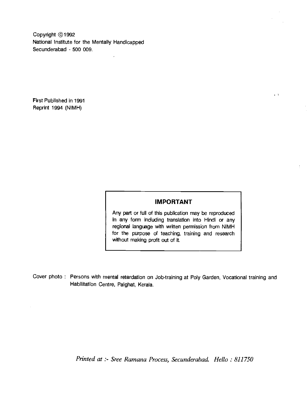Copyright ©1992 National Institute for the Mentally Handicapped Secunderabad - 500 009.

First Published in 1991 Reprint 1994 (NIMH)

#### IMPORTANT

 $\sim 5$ 

Any part or full of this publication may be reproduced In any form including translation into Hindi or any regional language with written permission from NIMH for the purpose of teaching, training and research without making profit out of it.

Cover photo: Persons with mental retardation on Job-training at Poly Garden, Vocational training and Habilitation Centre, Palghat, Kerala.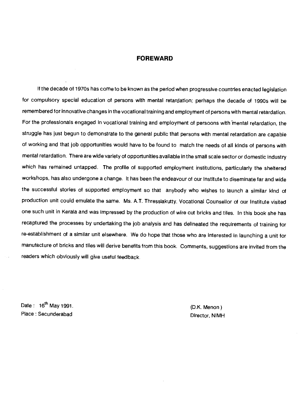#### FOREWARD

If the decade of 1970s has come to be known as the period when progressive countries enacted legislation for compulsory special education of persons with mental retardation; perhaps the decade of 1990s will be remembered for innovative changes in the vocational training and employment of persons with mental retardation. For the professionals engaged in vocational training and employment of persoons with mental retardation, the struggle has just begun to demonstrate to the general public that persons with mental retardation are capable of working and that job opportunities would have to be found to match the needs of all kinds of persons with mental retardation. There are wide variety of opportunities available in the small scale sector or domestic industry which has remained untapped. The profile of supported employment institutions, particularly the sheltered workshops, has also undergone a change. It has been the endeavour of our Institute to diseminate far and wide the successful stories of supported employment so that anybody who wishes to launch a similar kind of production unit could emulate the same. Ms. A.T. Thressiakutty, Vocational Counsellor of our Institute visited one such unit in Kerala and was impressed by the production of wire cut bricks and tiles. In this book she has recaptured the processes by undertaking the job analysis and has delineated the requirements of training for re-establishment of a similar unit elsewhere. We do hope that those who are interested in launching a unit for manufacture of bricks and tiles will derive benefits from this book. Comments, suggestions are invited from the readers which obviously will give useful feedback.

Date:  $16^{th}$  May 1991. Place: Secunderabad Director, NIMH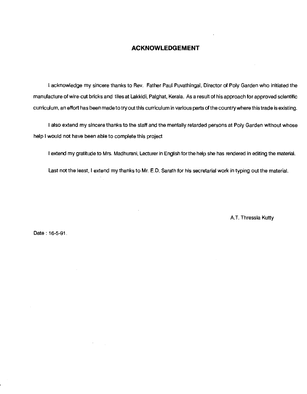#### ACKNOWLEDGEMENT

I acknowledge my sincere thanks to Rev. Father Paul Puvathingal, Director of Poly Garden who initiated the manufacture of wire-cut bricks and tiles at Lakkidi, Palghat, Kerala. As a result of his approach for approved scientific curriculum, an effort has been madeto try out this curriculum in various parts of the country where this trade is existing.

I also extend my sincere thanks to the staff and the mentally retarded persons at Poly Garden without whose help I would not have been able to complete this project

I extend my gratitude to Mrs. Madhurani, Lecturer in English for the help she has rendered in editing the material.

Last not the least, I extend my thanks to Mr. E.D. Sarath for his secretarial work in typing out the material.

A.T. Thressia Kutty

Date : 16-5-91.

 $\sim$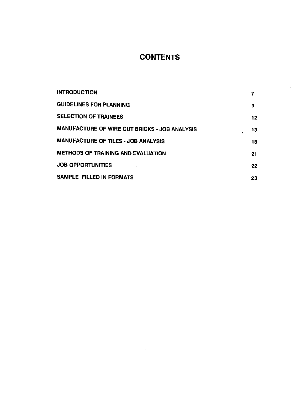### **CONTENTS**

| <b>INTRODUCTION</b>                           | 7  |
|-----------------------------------------------|----|
| <b>GUIDELINES FOR PLANNING</b>                | 9  |
| <b>SELECTION OF TRAINEES</b>                  | 12 |
| MANUFACTURE OF WIRE CUT BRICKS - JOB ANALYSIS | 13 |
| <b>MANUFACTURE OF TILES - JOB ANALYSIS</b>    | 18 |
| METHODS OF TRAINING AND EVALUATION            | 21 |
| <b>JOB OPPORTUNITIES</b>                      | 22 |
| SAMPLE FILLED IN FORMATS                      | 23 |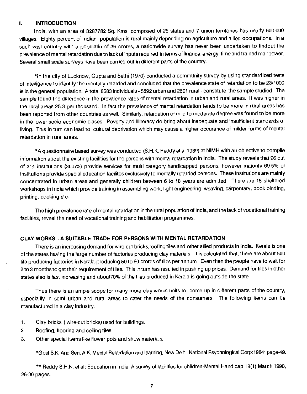#### <span id="page-6-0"></span>I. INTRODUCTION

India, with an area of 3287782 Sq. Kms, composed of 25 states and 7 union territories has nearly 600,000 villages. Eighty percent of Indian population is rural mainly depending on agriculture and allied occupations. In a such vast country with a populatin of 36 crores, a nationwide survey has never been undertaken to findout the prevalence of mental retardation due to lack of inputs required in terms of finance, energy, time and trained manpower. Several small scale surveys have been carried out in different parts of the country.

\*ln the city of Lucknow, Gupta and Sethi (1970) conducted a community survey by using standardized tests of intelligence to identify the mentally retarded and concluded that the prevalence state of retardation to be 23/1000 is in the general population. A total 8583 individuals -5892 urban and 2691 rural - constitute the sample studied. The sample found the difference in the prevalence rates of mental retardation in urban and rural areas. It was higher in the rural areas 25.3 per thousand. In fact the prevalence of mental retardation tends to be more in rural areas has been reported from other countries as well. Similarly, retardation of mild to moderate degree was found to be more in the lower socio economic clases. Poverty and illiteracy do bring about inadequate and insufficient standards of living. This in turn can lead to cultural deprivation which may cause a higher occurance of milder forms of mental retardation in rural areas.

\*A questionnaire based survey was conducted (S.H.K. Reddy et all 989) at NIMH with an objective to compile information about the existing facilities for the persons with mental retardation in India. The study reveals that 96 out of 3l1 institutions (30.5%) provide services for multi category handicapped persons, however majority 69.5% of Institutions provide special education facilites exclusively to mentally retarded persons. These institutions are mainly concentrated in urban areas and generally children between 6 to 18 years are admitted. There are 15 sheltered workshops in India which provide training in assembling work, light engineering, weaving, carpentary, book binding, printing, cooking etc.

The high prevalence rate of mental retardation in the rural population of India, and the lack of vocational training facilities, reveal the need of vocational training and habilitation programmes.

#### CLAY WORKS - A SUITABLE TRADE FOR PERSONS WITH MENTAL RETARDATION

There is an increasing demand for wire-cut bricks,rooting tiles and other allied products in India. Kerala is one of the states having the large number of factories producing clay materials. It is calculated that, there are about 500 tile producing factories in Kerala-producing 50 to 60 crores of tiles per annum. Even then the people have to wait for 2 to 3 months to get their requirement of tiles. This in turn has resulted in pushing up prices. Demand for tiles in other states also is fast increasing and about7o% of the tiles produced in Kerala is going outside the state.

Thus there is an ample scope for many more clay works units to come up in different parts of the country, especiallly in semi urban and rural areas to cater the needs of the consumers. The following items can be manufactured in a clay industry.

- 1. Clay bricks (wire-cut bricks) used for buildings.
- 2. Roofing, flooring and ceiling tiles.
- 3. Other special items like flower pots and show materials.

\*GoeI 5K. And Sen, A.K; Mental Retardation and learning, New Delhi, National Psychological Corp:1984; page-49.

\*\* Reddy S.H.K. et al; Education in India, A survey of facilities for children-Mental Handicap 18(1) March 1990, 26-30 pages.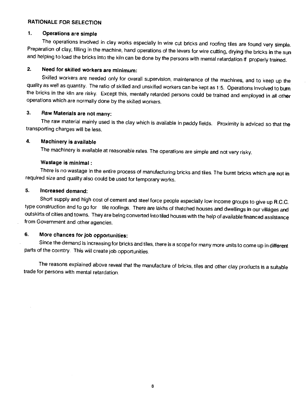#### RATIONALE FOR SELECTION

#### 1. Operations are simple

The operations involved in clay works especially in wire cut bricks and roofing tiles are found very simple. Preparation of clay, filling in the machine, hand operations of the levers for wire cutting, drying the bricks in the sun and helping to load the bricks into the kiln can be done by the persons with mental retardation if properly trained.

#### 2. Need for skilled workers are minimum:

Skilled workers are needed only for overall supervision, maintenance of the machines, and to keep up the quality as well as quantity. The ratio of skilled and unskilled workers can be kept as 1:5. Operations involved to burn the bricks in the kiln are risky. Except this, mentally retarded persons could be trained and employed in all other operations which are normally done by the skilled workers.

#### 3. Raw Materials are not many:

The raw material mainly used is the clay which is available in paddy fields. Proximity is adviced so that the transporting charges will be less.

#### 4. Machinery is available

The machinery is available at reasonable rates. The operations are simple and not very risky.

#### Wastage is minimal

There is no wastage in the entire process of manufacturing bricks and tiles. The burnt bricks which are not in required size and quality also could be used for temporary works.

#### 5. Increased demand:

Short supply and high cost of cement and steel force people especially low income groups to give up R.C.C. type construction and to go for tile roofings. There are lakhs of thatched houses and dwellings in our villages and outskirts of cities and towns. They are being converted into tiled houses with the help of available financed assistance from Government and other agencies.

#### 6. More chances for Job opportunities:

Since the demand is increasing for bricks and tiles, there is a scope for many more units to come up in different parts of the country. This will create job opportunities.

The reasons explained above reveal that the manufacture of bricks, tiles and otherclay products is a suitable trade for persons with mental retardation.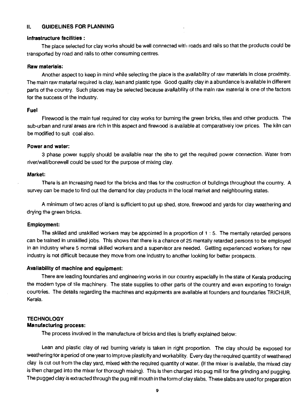#### <span id="page-8-0"></span>II. GUIDELINES FOR PLANNING

#### Infrastructure facilities:

The place selected for clay works should be well connected with roads and rails so that the products could be transported by road and rails to other consuming centres.

#### Raw materials:

Another aspect to keep in mind while selecting the place is the availability of raw materials in close proximity. The main raw matarial required is clay, lean and plastic type. Good quality clay in a abundance is available in different parts of the country. Such places may be selected because availability of the main raw material is one of the factors for the success of the industry.

#### Fuel

Firewood is the main fuel required for clay works for burning the green bricks, tiles and other products. The sub-urban and rural areas are rich in this aspect and firewood is available at comparatively low prices. The kiln can be modified to suit coal also.

#### Power and water:

3 phase power supply should be available near the site to get the required power connection. Water from river/wall/borewell could be used for the purpose of mixing clay.

#### Market:

There is an increasing need for the bricks and tiles for the costruction of buildings throughout the country. A survey can be made to find out the demand for clay products in the local market and neighbouring states.

A minimum of two acres of land is sufficient to put up shed, store, firewood and yards for clay weathering and drying the green bricks.

#### Employment:

The skilled and unskilled workers may be appointed in a proportion of 1 : 5. The mentally retarded persons can be trained in unskilled jobs. This shows that there is a chance of 25 mentally retarded persons to be employed in an industry where 5 normal skilled workers and a supervisor are needed. Getting experienced workers for new industry is not difficult because they move from one industry to another looking for better prospects.

#### Availability of machine and equipment:

There are leading foundaries and engineering works in our country especially in the state of Kerala producing the modern type of tile machinery. The state supplies to other parts of the country and even exporting to foreign countries. The details regarding the machines and equipments are available at founders and foundaries TF1ICHUR, Kerala.

#### **TECHNOLOGY** Manufacturing process:

The process involved in the manufacture of bricks and tiles is briefly explained below:

Lean and plastic clay of red burning variety is taken in right proportion. The clay should be exposed for weathering for a period of one year to Improve plasticity and workability. Every day the required quantity of weathered clay is cut out from the clay yard, mixed with the required quantity of water. (If the mixer is available, the mixed clay is then charged Into the mixer for thorough mixing). This is then charged into pug mill for fine grinding and pugging. The pugged clay is extracted through the pug mill mouth in the form of clay slabs. These slabs are used for preparation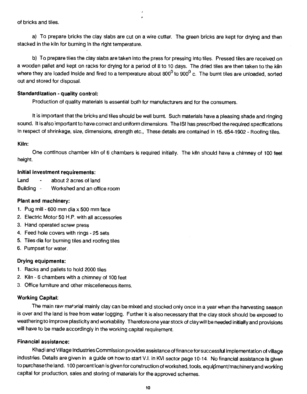of bricks and tiles.

a) To prepare bricks the clay slabs are cut on a wire cutter. The green bricks are kept for drying and then stacked in the kiln for burning in the right temperature.

b) To prepare tiles the clay slabs are taken into the press for pressing into tiles. Pressed tiles are received on a wooden pallet and kept on racks for drying for a period of 8 to 10 days. The dried tiles are then taken to the kiln where they are loaded inside and fired to a temperature about 800 $^0$  to 900 $^0$  c. The burnt tiles are unloaded, sorted out and stored for disposal.

#### Standardization - quality control:

Production of quality materials is essential both for manufacturers and for the consumers.

It is important that the bricks and tiles should be well burnt. Such materials have a pleasing shade and ringing sound. It is also important to have correct and uniform dimensions. The 151 has prescribed the required specifications in respect of shrinkage, size, dimensions, strength etc., These details are contained in IS. 654-1902 - Roofing tiles.

#### Kiln:

One continous chamber kiln of 6 chambers is required initially. The kiln should have a chimney of 100 feet height.

#### Initial investment requirements:

- Land about 2 acres of land
- Building Workshed and an office room

#### Plant and machinery:

- 1. Pug mill 600 mm dia  $\times$  500 mm face
- 2. Electric Motor 50 H.P. with all accessories
- 3. Hand operated screw press
- 4. Feed hole covers with rings 25 sets
- 5. Tiles dia for burning tiles and roofing tiles
- 6. Pumpset for water.

#### Drying equipments:

- 1. Racks and pallets to hold 2000 tiles
- 2. Kiln -6 chambers with a chimney of 100 feet
- 3. Office furniture and other miscelleneous items.

#### Working Capital:

The main raw material mainly clay can be mixed and stocked only once in a year when the harvesting season is over and the land is free from water logging. Further it is also necessary that the clay stock should be exposed to weathering to improve plasticity and workability. Therefore one year stock of claywill be needed initially and provisions will have to be made accordingly in the working capital requirement.

#### Financial assistance:

Khadi and Village Industries Commission provides assistance of finance for successful implementation of village industries. Details are given in a guide on how to start V.1. in KVI sector page 10-14. No financial assistance is given to purchase the land. 100 percent loan is given for construction of workshed, tools, equipment/machinery and working capital for production, sales and storing of materials for the approved schemes.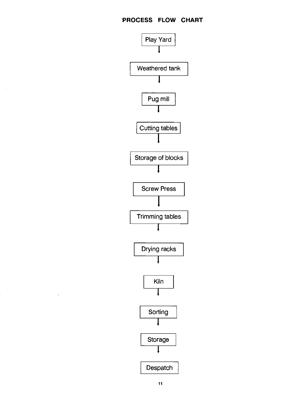$\bar{z}$ 

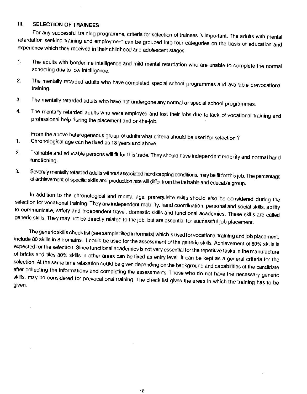#### <span id="page-11-0"></span>Ill. SELECTION OF TRAINEES

For any successful training programme, criteria for selection of trainees is important. The adults with mental retardation seeking training and employment can be grouped into four categories on the basis of education and experience which they received in their childhood and adolescent stages.

- I. The adults with borderline intelligence and mild mental retardation who are unable to complete the normal schooling due to low intelligence.
- 2. The mentally retarded adults who have completed special school programmes and available prevocational training.
- 3. The mentally retarded adults who have not undergone any normal or special school programmes.
- 4. The mentally retarded adults who were employed and lost their jobs due to lack of vocational training and professional help during the placement and on-the-job.

From the above haterogeneous group of adults what criteria should be used for selection?

- 1. Chronological age can be fixed as 18 years and above.
- 2. Trainable and educable persons will fit for this trade.They should have independent mobility and normal hand functioning.
- 3. Severely mentally retarded adults without associated handicapping conditions, may be fit for this job. The percentage of achievement of specific skills and production rate will differ from the trainable and educable group.

In addition to the chronological and mental age, prerequisite skills should also be considered during the selection for vocational training. They are independent mobility, hand coordination, personal and social skills, ability to communicate, safety and independent travel, domestic skills and functional academics. These skills are called generic skills. They may not be directly related to the job, but are essential for successful job placement.

The generic skills check list (see sample filled in formats) which is used for vocational training and Job placement,<br>include 80 skills in 8 domains. It could be used for the assessment of the generic skills. Achievement o expected for the selection. Since functional academics is not very essential for the repetitive tasks in the manufacture<br>of bricks and tiles 80% skills in other areas can be fixed as entry level. It can be kept as a genera skills, may be considered for prevocational training. The check list gives the areas in which the training has to be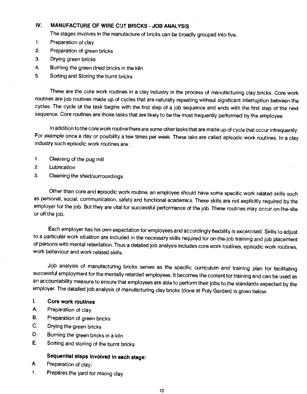#### <span id="page-12-0"></span>IV. MANUFACTURE OF WIRE CUT BRICKS - JOB ANALYSIS

The stages involves in the manufacture of bricks can be broadly grouped into five.

- 1. Preparation of clay
- 2. Preparation of green bricks
- 3. Drying green bricks
- 4. Burning the green dried bricks in the kiln
- 5. Sorting and Storing the burnt bricks

These are the core work routines in a clay industry in the process of manufacturing clay bricks. Core work routines are job routines made up of cycles that are naturally repeating without significant interruption between the cycles. The cycle of the task begins with the first step of a job sequence and ends with the first step of the next sequence. Core routines are those tasks that are likely to be the most frequently performed by the employee.

In addition to the core work routine there are some other tasks that are made up of cycle that occur infrequently: For example once a day or posibility a few times per week. These taks are called episodic work routines. In a clay industry such episodic work routines are:

- 1. Cleaning of the pug mill
- 2. Lubrication
- 3. Cleaning the shed/surroundings

Other than core and episodic work routine, an employee should have some specific work related skills such as personal, social, communication, safety and functional academics. These skills are not explicitly required by the employer for the job. But they are vital for successful performance of the job. These routines may occur on-the-site or off the job.

Each employer has his own expectation for employees and accordinglyflexbility is excercised. Skills to adjust to a particular work situation are included in the necessary skills required for on-the-job training and job placement of persons with mental retardation. Thus a detailed job analysis includes core work routines, episodic work routines, work behaviour and work related skills.

Job analysis of manufacturing bricks serves as the specific curriculum and training plan for facilitating successful employment for the mentally retarded employees. It becomes the content for training and can be used as an accountability measure to ensure that employees are able to perform their jobs to the standards expected by the employer. The detailed job analysis of manufacturing clay bricks (done at Poly Garden) is given below.

#### I. Core work routines

- A. Preparation of clay
- B. Preparation of green bricks
- C. Drying the green bricks
- D. Burning the green bricks in a kiln
- E. Sorting and storing of the burnt bricks

#### Sequential steps involved in each stage:

- A. Preparation of clay:
- 1. Prepares the yard for mixing clay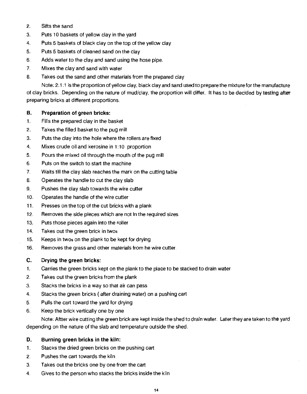- 2. Sifts the sand
- 3. Puts 10 baskets of yellow clay in the yard
- 4. Puts 5 baskets of black clay on the top of the yellow clay
- 5. Puts 5 baskets of cleaned sand on the clay
- 6. Adds water to the clay and sand using the hose pipe.
- 7. Mixes the clay and sand with water
- 8. Takes out the sand and other materials from the prepared clay

Note: 2:1:1 is the proportion of yellow clay, black clay and sand used to prepare the mixture for the manufacture of clay bricks. Depending on the nature of mud/clay, the proportion will differ. It has to be decided by testing after preparing bricks at different proportions.

#### B. Preparation of green bricks:

- 1. Fills the prepared clay in the basket
- 2. Takes the filled basket to the pug mill
- 3. Puts the clay into the hole where the rollers are fixed
- 4. Mixes crude oil and kerosine in 1:10 proportion
- 5. Pours the mixed oil through the mouth of the pug mill
- 6. Puts on the switch to start the machine
- 7. Waits till the clay slab reaches the mark on the cutting table
- 8. Operates the handle to cut the clay slab
- 9. Pushes the clay slab towards the wire cutter
- 10. Operates the handle of the wire cutter
- 11. Presses on the top of the cut bricks with a plank
- 12. Removes the side pieces which are not in the required sizes
- 13. Puts those pieces again into the roller
- 14. Takes out the green brick in twos
- 15. Keeps in twos on the plank to be kept for drying
- 16. Removes the grass and other materials from he wire cutter.

#### C. Drying the green bricks:

- 1. Carries the green bricks kept on the plank to the place to be stacked to drain water
- 2. Takes out the green bricks from the plank
- 3. Stacks the bricks in a way so that air can pass
- 4. Stacks the green bricks (after draining water) on a pushing cart
- 5. Pulls the cart toward the yard for drying
- 6. Keep the brick vertically one by one

Note: Aftter wire cutting the green brick are kept inside the shed to drain water. Later they are taken to the yard depending on the nature of the slab and temperature outside the shed.

#### D. Burning green bricks in the kiln:

- 1. Stacks the dried green bricks on the pushing cart
- 2. Pushes the cart towards the kiln
- 3. Takes out the bricks one by one from the cart
- 4. Gives to the person who stacks the bricks inside the kiln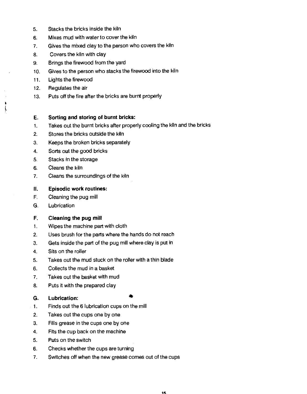- 5. Stacks the bricks inside the kiln
- 6. Mixes mud with water to cover the kiln
- 7. Gives the mixed clay to the person who covers the kiln
- 8. Covers the kiln with clay
- 9. Brings the firewood from the yard
- 10. Gives to the person who stacks the firewood into the kiln
- 11. Lights the firewood
- 12. Regulates the air

ł,

13. Puts off the fire after the bricks are burnt properly

#### E. Sorting and storing of burnt bricks:

- 1. Takes out the burnt bricks after properly cooling the kiln and the bricks
- 2. Stores the bricks outside the kiln
- 3. Keeps the broken bricks separately
- 4. Sorts out the good bricks
- 5. Stacks in the storage
- 6. Cleans the kiln
- 7. Cleans the surroundings of the kiln

#### II. Episodic work routines:

- F, Cleaning the pug mill
- G. Lubrication

#### F. Cleaning the pug mill

- 1. Wipes the machine part with cloth
- 2. Uses brush for the parts where the hands do not reach
- 3. Gets inside the part of the pug mill where clay is put in
- 4. Sits on the roller
- 5. Takes out the mud stuck on the roller with a thin blade
- 6. Collects the mud in a basket
- 7. Takes out the basket with mud
- 8. Puts it with the prepared clay

#### G. Lubrication:

- 1. Finds out the 6 lubrication cups on the mill
- 2. Takes out the cups one by one
- 3. Fills grease in the cups one by one
- 4. Fits the cup back on the machine
- 5. Puts on the switch
- 6. Checks whether the cups are turning
- 7. Switches off when the new grease comes out of the cups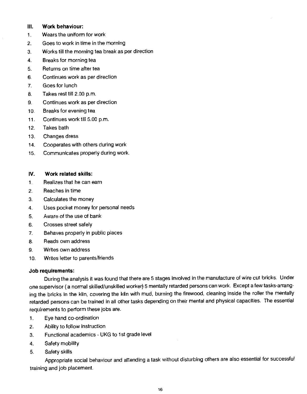#### Ill. Work behaviour:

- I. Wears the uniform for work
- 2. Goes to work in time in the morning
- 3. Works till the morning tea break as per direction
- 4. Breaks for morning tea
- 5. Returns on time after tea
- 6. Continues work as per direction
- 7. Goes for lunch
- 8. Takes rest till 2.00 p.m.
- 9. Continues work as per direction
- 10. Breaks for evening tea
- 11. Continues work till 5.00 p.m.
- 12. Takes bath
- 13. Changes dress
- 14. Cooperates with others during work
- 15. Communicates properly during work.

#### IV. Work related skills:

- 1. Realizes that he can earn
- 2. Reaches in time
- 3. Calculates the money
- 4. Uses pocket money for personal needs
- 6. Aware of the use of bank
- 6. Crosses street safely
- 7. Behaves properly in public places
- 8. Reads own address
- 9. Writes own address
- 10. Writes letter to parents/friends

#### Job requirements:

During the analysis it was found that there are 5 stages involved in the manufacture of wire cut bricks. Under one supervisor (a normal skilled/unskilled worker) 5 mentally retarded persons can work. Except a few tasks-arranging the bricks in the kiln, covering the kiln with mud, burning the firewood, cleaning inside the roller the mentally retarded persons can be trained in all other tasks depending on their mental and physical capacities. The essential requirements to perform these jobs are.

- 1. Eye hand co-ordination
- 2. AbIlity to follow instruction
- 3. Functional academics UKG to 1st grade level
- 4. Safety mobility
- 5. Safety skills

Appropriate social behaviour and attending a task without disturbing others are also essential for successful training and job placement.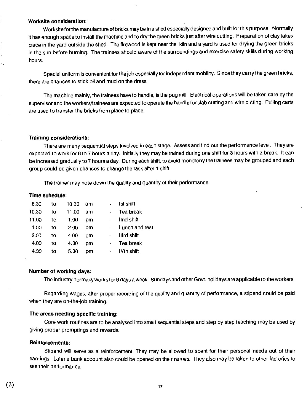#### Worksite consideration:

Worksite for the manufacture of bricks may be in a shed especially designed and built for this purpose. Normally it has enough space to install the machine and to dry the green bricks just after wire cutting. Preparation of clay takes place in the yard outside the shed. The firewood is kept near the kiln and a yard is used for drying the green bricks in the sun before burning. The trainees should aware of the surroundings and exercise safety skills during working hours.

Special uniform is convenient for the job especially for independent mobility. Since they carry the green bricks, there are chances to stick oil and mud on the dress.

The machine mainly, the trainees have to handle, is the pug mill. Electrical operations will be taken care by the supervisor and the workers/trainees are expected to operate the handle for slab cutting and wire cutting. Pulling carts are used to transfer the bricks from place to place.

#### Training considerations:

There are many sequential steps involved in each stage. Assess and find out the performance level. They are expected to work for 6 to 7 hours a day. Initially they may be trained during one shift for 3 hours with a break. It can be increased gradually to 7 hours a day. During each shift, to avoid monotony the trainees may be grouped and each group could be given chances to change the task after 1 shift.

The trainer may note down the quality and quantity of their performance.

#### Time schedule:

| 8.30  | to | 10.30 | am | Ist shift      |
|-------|----|-------|----|----------------|
| 10.30 | to | 11.00 | am | Tea break      |
| 11.00 | to | 1.00  | pm | lind shift     |
| 1.00  | 10 | 2.00  | pm | Lunch and rest |
| 2.00  | to | 4.00  | pm | Illrd shift    |
| 4.00  | to | 4.30  | pm | Tea break      |
| 4.30  | to | 5.30  | pm | IVth shift     |

#### Number of working days:

The industry normally works for 6 days a week. Sundays and other Govt. holidays are applicable to the workers.

Regarding wages, after proper recording of the quality and quantity of performance, a stipend could be paid when they are on-the-job training.

#### The areas needing specific training:

Core work routines are to be analysed into small sequential steps and step by step teaching may be used by giving proper promptings and rewards.

#### Reinforcements:

Stipend will serve as a reinforcement. They may be allowed to spent for their personal needs out of their earnings. Later a bank account also could be opened on their names. They also may be taken to other factories to see their performance.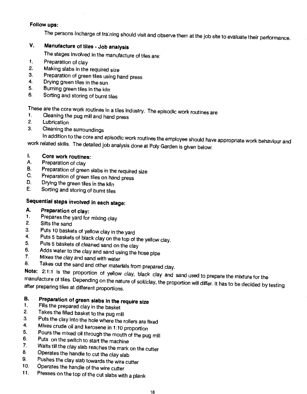#### <span id="page-17-0"></span>Follow ups:

The persons incharge of training should visit and observe them at the job site to evaluate their performance.

#### V. Manufacture of tiles - Job analysis

The stages involved in the manufacture of tiles are:

- 1. Preparation of clay<br>2. Making slabs in the
- 2. Making slabs in the required size<br>3. Preparation of green tiles using b
- 3. Preparation of green tiles using hand press<br>4. Drying green tiles in the sun
- 4. Drying green tiles in the sun<br>5. Burning green tiles in the kill
- 5. Burning green tiles in the kiln<br>6. Sorting and storing of burnt til
- Sorting and storing of burnt tiles

These are the core work routines in a tiles industry. The episodic work routines are<br>1. Cleaning the pug mill and band press.

- 1. Cleaning the pug mill and hand press<br>2. Lubrication
- **Lubrication**
- 3. Cleaning the surroundings

In addition to the core and episodic work routines the employee should have appropriate work behaviour and work related skills. The detailed job analysis done at Poly Garden is given below:

### I. Core work routines:<br>A. Preparation of clay

- Preparation of clay
- B. Preparation of green slabs in the required size<br>C. Preparation of green tiles on hand press.
- C. Preparation of green tiles on hand press<br>D. Drying the green tiles in the kits
- D. Drying the green tiles in the kiln<br>E. Sorting and storing of burnt tiles
- Sorting and storing of burnt tiles

### Sequential steps involved in each stage:

- **A.** Preparation of clay:<br>1. Prepares the vard for
- 1. Prepares the yard for mixing clay<br>2. Sifts the sand
- Sifts the sand
- 
- 
- 
- 
- 
- 3. Puts 10 baskets of yellow clay in the yard<br>4. Puts 5 baskets of black clay on the top of the yellow clay.<br>5. Puts 5 baskets of cleaned sand on the clay<br>6. Adds water to the clay and sand using the hose pipe<br>7. Mixes the

Note: 2:1:1 is the proportion of yellow clay, black clay and sand used to prepare the mixture for the<br>manufacture of tiles. Depending on the nature of soil/clay, the proportion will differ. It has to be decided by testing<br>

### B. Preparation of green slabs in the require size  $1$ . Fills the prepared clay in the basis of

- 
- 1. Fills the prepared clay in the basket<br>2. Takes the filled basket to the pug mill
- 
- 
- 3. Puts the clay into the hole where the rollers are fixed<br>4. Mixes crude oil and kerosene in 1:10 proportion<br>5. Pours the mixed oil through the mouth of the pug mill<br>6. Puts on the switch to start the machine<br>7. Waits ti
- 
- 7. Waits till the clay slab reaches the mark on the cutter  $\frac{8}{2}$ . Operates the bandle to out the clay slab.
- 8. Operates the handle to cut the clay slab<br>9. Pushes the clay slab towards the
- 9. Pushes the clay slab towards the wire cutter<br>10. Operates the bandlo of the wire s it.
- 10. Operates the handle of the wire cutter<br>11. Presses on the top of the out clabs wite
- Presses on the top of the cut slabs with a plank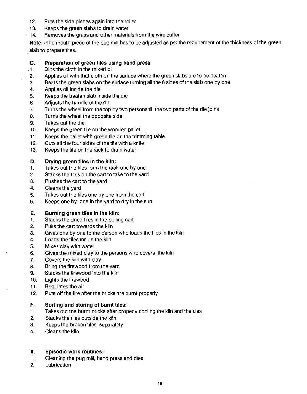- 12. Puts the side pieces again into the roller
- 13. Keeps the green slabs to drain water
- 14, Removes the grass and other materials from the wire cutter

Note: The mouth piece of the pug mill has to be adjusted as per the requirement of the thickness of the green slab to prepare tiles.

#### C. Preparation of green tiles using hand press

- 1. Dips the cloth in the mixed oil
- 2. Applies oil with that cloth on the surface where the green slabs are to be beaten
- a. Beats the green slabs on the surface turning all the 6 sides of the slab one by one
- 4. Applies oil inside the die
- 5. Keeps the beaten slab inside the die
- 6. Adjusts the handle of the die
- 7. Turns the wheel from the top by two persons till the two parts of the die joins
- 8. Turns the wheel the opposite side
- 9. Takes out the die
- 10. Keeps the green tile on the wooden pallet
- 11. Keeps the pallet with green tile on the trimming table
- 12. Cuts all the four sides of the tile with a knife
- 13. Keeps the tile on the rack to drain water

#### D. Drying green tiles in the kiln:

- 1. Takes out the tiles form the rack one by one
- 2. Stacks the tiles on the cart to take to the yard
- 3. Pushes the cart to the yard
- 4. Cleans the yard
- 5. Takes out the tiles one by one from the cart
- 6. Keeps one by one in the yard to dry in the sun

#### E. Burning green tiles in the kiln;

- 1. Stacks the dried tiles in the pulling cart
- 2. Pulls the cart towards the kiln
- 3. Gives one by one to (he person who loads the tiles in the kiln
- 4. Loads the tiles inside the kiln
- 5. Mixes clay with water
- 6. Gives the mixed clay to the persons who covers the kiln
- 7. Covers the kiln with clay
- 8. Bring the firewood from the yard
- 9. Stacks the firewood into the kiln
- 10. Lights the firewood
- 11. Regulates the air
- 12. Puts off the fire after the bricks are burnt properly

#### F. Sorting and storing of burnt tiles:

- I. Takes out the burnt bricks after properly cooling the kiln and the tiles
- 2. Stacks the tiles outside the kiln
- 3. Keeps the broken tiles separately
- 4. Cleans the kiln

#### II. Episodic work routines:

- 1, Cleaning the pug mill, hand press and dies
- 2. Lubrication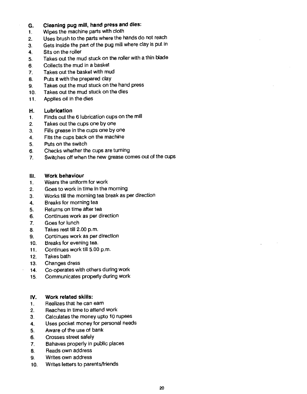#### G. Cleaning pug mill, hand press and dies:

- 1. Wipes the machine parts with cloth
- 2. Uses brush to the parts where the hands do not reach
- 3. Gets inside the part of the pug mill where clay is put in
- 4. Sits on the roller
- 5. Takes out the mud stuck on the roller with a thin blade
- 6. Collects the mud in a basket
- 7. Takes out the basket with mud
- 8. Puts it with the prepared clay
- 9. Takes out the mud stuck on the hand press
- 10. Takes out the mud stuck on the dies
- 11. Applies oil in the dies

#### H. Lubrication

- 1. Finds out the 6 lubrication cups on the mill
- 2. Takes out the cups one by one
- 3. Fills grease in the cups one by one
- 4. Fits the cups back on the machine
- 5. Puts on the switch
- 6. Checks whether the cups are turning
- 7. Switches off when the new grease comes out of the cups

#### Ill. Work behaviour

- 1. Wears the uniform for work
- 2. Goes to work in time in the morning
- 3. Works till the morning tea break as per direction
- 4. Breaks for morning tea
- 5. Returns on time after tea
- 6. Continues work as per direction
- 7. Goes for lunch
- 8. Takes rest till 2.00 p.m.
- 9. Continues work as per direction
- 10. Breaks for evening tea.
- 11. Continues work till 5.00 p.m.
- 12. Takes bath
- 13. Changes dress
- 14. Co-operates with others during work
- 15. Communicates properly during work

#### IV. Work related skills:

- 1. Realizes that he can earn
- 2. Reaches in time to attend work
- 3. Calculates the money upto 10 rupees
- 4. Uses pocket money for personal needs
- 5. Aware of the use of bank
- 6. Crosses street safely
- 7. Bahaves properly in public places
- 8. Reads own address
- 9. Writes own address
- 10. Writes letters to parents/friends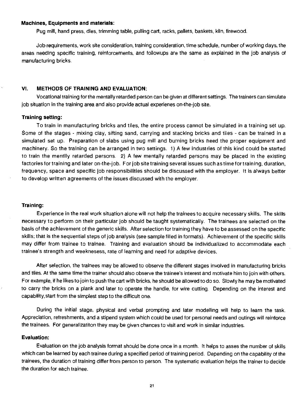#### <span id="page-20-0"></span>Machines, Equipments and materials:

Pug mill, hand press, dies, trimming table, pulling cart, racks, pallets, baskets, kiln, firewood.

Job requirements, work site consideration, training consideration, time schedule, number of working days, the areas needing specific training, reinforcements, and followups are the same as explained in the job analysis of manufacturing bricks.

#### VI. METHODS OF TRAINING AND EVALUATION:

Vocational training for the mentally retarded person can be given at different settings. The trainers can simulate job situation in the training area and also provide actual experienes on-the-job site.

#### Training setting:

To train in manufacturing bricks and tiles, the entire process cannot be simulated in a training set up. Some of the stages - mixing clay, sifting sand, carrying and stacking bricks and tiles - can be trained in a simulated set up. Preparation of slabs using pug mill and burning bricks heed the proper equipment and machinery. So the training can be arranged in two settings. 1) A few industries of this kind could be started to train the mentlly retarded persons. 2) A few mentally retarded persons may be placed in the existing factories for training and later on-the-job. For job site training several issues such as time for training, duration, frequency, space and specific job responsibilities should be discussed with the employer. It is always better to develop written agreements of the issues discussed with the employer.

#### Training:

Experience in the real work situation alone will not help the trainees to acquire necessary skills. The skills necessary to perform on their particular job should be taught systematically. The trainees are selected on the basis of the achievement of the generic skills. After selection for training they have to be assessed on the specific skflls; that is the sequential steps of job analysis (see sample filled in formats). Achievement of the specific skills may differ from trainee to trainee. Training and evaluation should be individualized to accommodate each trainee's strength and weeknesess, rate of learning and need for adaptive devices.

After selection, the trainees may be allowed to observe the different stages involved in manufacturing bricks and tiles. At the same time the trainer should also observe the trainee's interest and motivate him to join with others. For example, if he likes to join to push the cart with bricks, he should be allowed to do so. Slowly he may be motivated to carry the bricks on a plank and later to operate the handle, for wire cutting. Depending on the interest and capability, start from the simplest step to the difficult one.

During the initial stage, physical and verbal prompting and later modelling will help to learn the task. Appreciation, refreshments, and a stipend system which could be used for personal needs and outings will reinforce the trainees. For generalizatiton they may be given chances to visit and work in similar industries.

#### Evaluation:

Evaluation on the job analysis format should be done once in a month. It helps to asses the number of skills which can be learned by each trainee during a specified period of training period. Depending on the capability of the trainees, the duration of training differ from person to person. The systematic evaluation helps the trainer to decide the duration for each trainee.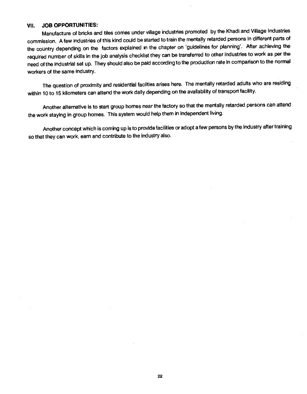#### <span id="page-21-0"></span>VII. JOB OPPORTUNITIES:

Manufacture of bricks and tiles comes under village industries promoted by the Khadl and Village Industries commission. A few industries of this kind could be started to train the mentally retarded persons in different parts of the country depending on the factors explained in the chapter on 'guidelines for planning'. After achieving the required number of skills in the job analysis checklist they can be transferred to other industries to work as per the need of the industrial set up. They should also be paid according to the production rate in comparison to the normal workers of the same industry.

The question of proximity and residential facilties arises here. The mentally retarded adults who are residing within 10 to 15 kilometers can attend the work daily depending on the availability of transport facility.

Another alternative is to start group homes near the factory so that the mentally retarded persons can attend the work staying in group homes. This system would help them in independent living.

Another concept which is coming up is to provide facilities or adopt a few persons by the Industry after training so that they can work, earn and contribute to the industry also.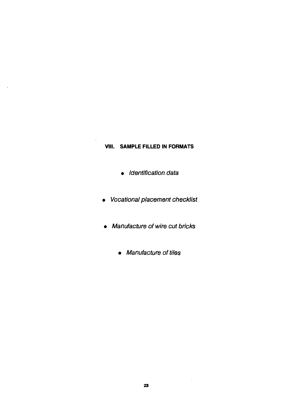#### VIII. SAMPLE FILLED IN FORMATS

<span id="page-22-0"></span> $\hat{\mathbf{r}}$ 

- Identification data
- Vocational placement checklist
- Manufacture of wire cut bricks
	- Manufacture of tiles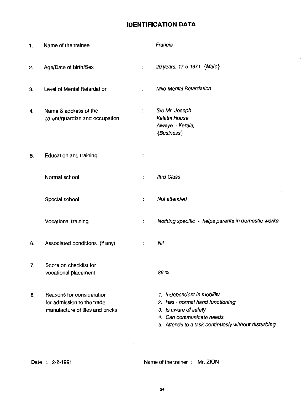#### IDENTIFICATION DATA

| 1.               | Name of the trainee                                                                        | $\ddot{\phantom{a}}$        | Francis                                                                                                                                                                    |
|------------------|--------------------------------------------------------------------------------------------|-----------------------------|----------------------------------------------------------------------------------------------------------------------------------------------------------------------------|
| 2.               | Age/Date of birth/Sex                                                                      | $\colon$                    | 20 years, 17-5-1971 {Male}                                                                                                                                                 |
| 3.               | Level of Mental Retardation                                                                |                             | <b>Mild Mental Retardation</b>                                                                                                                                             |
| 4.               | Name & address of the<br>parent/guardian and occupation                                    | ÷                           | S/o Mr. Joseph<br>Kalathi House<br>Alwaye - Kerala,<br>{Business}                                                                                                          |
| 5.               | <b>Education and training</b>                                                              | ÷                           |                                                                                                                                                                            |
|                  | Normal school                                                                              | ÷                           | <b>Illrd Class</b>                                                                                                                                                         |
|                  | Special school                                                                             | $\ddot{\cdot}$              | $\sim$ $^{\circ}$<br>Not attended                                                                                                                                          |
|                  | Vocational training                                                                        | ÷                           | Nothing specific - helps parents in domestic works                                                                                                                         |
| 6.               | Associated conditions (if any)                                                             | ÷                           | Nil                                                                                                                                                                        |
| $\overline{7}$ . | Score on checklist for<br>vocational placement                                             | $\ddot{\cdot}$              | 86 %                                                                                                                                                                       |
| 8.               | Reasons for consideration<br>for admission to the trade<br>manufacture of tiles and bricks | $\mathcal{I}^{\mathcal{I}}$ | 1. Independent in mobility<br>2. Has - normal hand functioning<br>3. Is aware of safety<br>4. Can communicate needs<br>5. Attends to a task continuosly without disturbing |

 $\cdot$ 

Date : 2-2-1991 Name of the trainer : Mr. ZION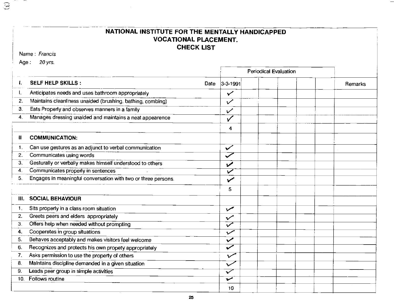#### NATIONAL INSTITUTE FOR THE MENTALLY HANDICAPPED VOCATIONAL PLACEMENT. CHECK LIST

Name: Francis

 $\odot$ 

Age: 20 yrs.

|                |                                                               | <b>Periodical Evaluation</b> |  |         |  |
|----------------|---------------------------------------------------------------|------------------------------|--|---------|--|
| ŧ.             | <b>SELF HELP SKILLS:</b><br>Date                              | $3-3-1991$                   |  | Remarks |  |
|                | Anticipates needs and uses bathroom appropriately             | $\checkmark$                 |  |         |  |
| 2.             | Maintains cleanliness unaided (brushing, bathing, combing)    | $\checkmark$                 |  |         |  |
| З.             | Eats Properly and observes manners in a family                | $\checkmark$                 |  |         |  |
| 4.             | Manages dressing unaided and maintains a neat appearence      |                              |  |         |  |
|                |                                                               | 4                            |  |         |  |
| ₩              | <b>COMMUNICATION:</b>                                         |                              |  |         |  |
| $\mathbf{1}$ . | Can use gestures as an adjunct to verbal communication        | $\checkmark$                 |  |         |  |
| 2.             | Communicates using words                                      | $\checkmark$                 |  |         |  |
| З.             | Gesturally or verbally makes himself understood to others     | $\boldsymbol{\nu}$           |  |         |  |
| 4.             | Communicates properly in sentences                            | ممن                          |  |         |  |
| 5.             | Engages in meaningful conversation with two or three persons. | $\checkmark$                 |  |         |  |
|                |                                                               | 5                            |  |         |  |
| III.           | <b>SOCIAL BEHAVIOUR</b>                                       |                              |  |         |  |
| 1.             | Sits properly in a class room situation                       | $\checkmark$                 |  |         |  |
| 2.             | Greets peers and elders appropriately                         | $\checkmark$                 |  |         |  |
| З.             | Offers help when needed without prompting                     | $\overline{\checkmark}$      |  |         |  |
| 4.             | Cooperetes in group situations                                | سمرہ                         |  |         |  |
| 5.             | Behaves acceptably and makes visitors feel welcome            | $\sqrt{ }$                   |  |         |  |
| 6.             | Recognizes and protects his own propety appropriately         | شممه                         |  |         |  |
| 7.             | Asks permission to use the property of others                 | $\checkmark$                 |  |         |  |
| 8.             | Maintains discipline demanded in a given situation            | $\checkmark$                 |  |         |  |
| 9.             | Leads peer group in simple activities                         | $\checkmark$                 |  |         |  |
| 10.            | Follows routine                                               | $\overline{\mathbf{v}}$      |  |         |  |
|                |                                                               | 10 <sup>°</sup>              |  |         |  |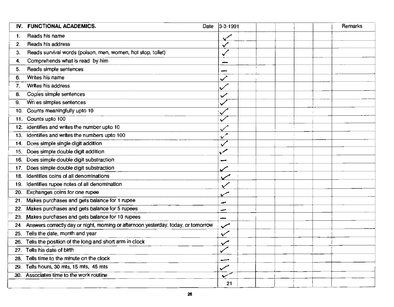| IV. FUNCTIONAL ACADEMICS.<br>Date                                                        | $ 3-3-1991$  | Remarks |
|------------------------------------------------------------------------------------------|--------------|---------|
| Reads his name<br>1.                                                                     |              |         |
| Reads his address<br>2.                                                                  | $\checkmark$ |         |
| Reads survival words (poison, men, women, hot stop, toilet)<br>З.                        |              |         |
| Comprehends what is read by him<br>4.                                                    |              |         |
| Reads simple sentences<br>5.                                                             |              |         |
| Writes his name<br>6.                                                                    |              |         |
| Writes his address<br>7.                                                                 |              |         |
| Copies simple sentences<br>8.                                                            | $\checkmark$ |         |
| Writes simples sentences<br>9.                                                           |              |         |
| Counts meaningfully upto 10<br>10.                                                       |              |         |
| Counts upto 100<br>11.                                                                   |              |         |
| 12. Identifies and writes the number upto 10                                             |              |         |
| identifies and writes the numbers upto 100<br>13.                                        | $\checkmark$ |         |
| 14. Does simple single digit addition                                                    |              |         |
| 15. Does simple double digit addition                                                    | سمر          |         |
| Does simple double digit substraction<br>16.                                             | ۔۔           |         |
| Does simple double digit substraction<br>17.                                             |              |         |
| Identifies coins of all denominations<br>18.                                             |              |         |
| Identifies rupee notes of all denomination<br>19.                                        | ✓            |         |
| Exchanges coins for one rupee<br>20.                                                     |              |         |
| Makes purchases and gets balance for 1 rupee<br>21.                                      | ⊷            |         |
| Makes purchases and gets balance for 5 rupees<br>22.                                     | -            |         |
| Makes purchases and gets balance for 10 rupees<br>23.                                    |              |         |
| Answers correctly day or night, moming or afternoon yesterday, today, or tomorrow<br>24. | $\checkmark$ |         |
| Tells the date, month and year<br>25.                                                    | $\checkmark$ |         |
| Tells the position of the long and short arm in clock<br>26.                             |              |         |
| Tells his date of birth<br>27.                                                           |              |         |
| Tells time to the minute on the clock<br>28.                                             |              |         |
| Tells hours, 30 mts, 15 mts, 45 mts<br>29.                                               |              |         |
| 30. Associates time to the work routine                                                  |              |         |
|                                                                                          | 21           |         |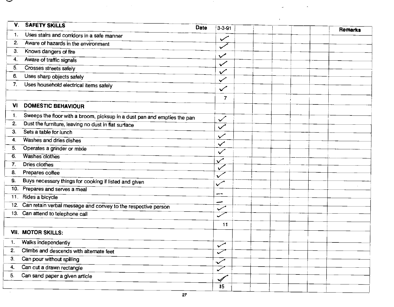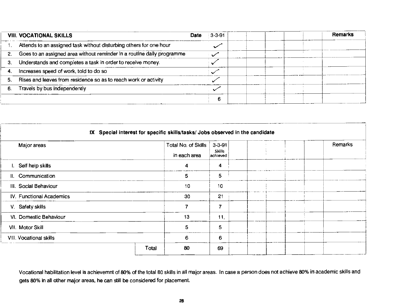| <b>VIII. VOCATIONAL SKILLS</b>                                                    | $3 - 3 - 91$<br><b>Date</b> | Remarks |
|-----------------------------------------------------------------------------------|-----------------------------|---------|
| Attends to an assigned task without disturbing others for one hour                |                             |         |
| Goes to an assigned area without reminder in a routine daily programme<br>$2_{-}$ |                             |         |
| Understands and completes a task in order to receive money.<br>3.                 |                             |         |
| Increases speed of work, told to do so<br>4.                                      |                             |         |
| Rises and leaves from residence so as to reach work or activity<br>5.             |                             |         |
| Travels by bus independently<br>6.                                                |                             |         |
|                                                                                   |                             |         |

| Major areas                    | in each area |    | Total No. of Skills<br>$3 - 3 - 91$<br>Skills<br>achieved |  | Remarks |
|--------------------------------|--------------|----|-----------------------------------------------------------|--|---------|
| I. Self help skills            |              | 4  | 4                                                         |  |         |
| II. Communication              |              | 5. | 5                                                         |  |         |
| III. Social Behaviour          |              | 10 | 10                                                        |  |         |
| IV. Functional Academics       |              | 30 | 21                                                        |  |         |
| V Safety skills                |              | 7  | 7                                                         |  |         |
| VI. Domestic Behaviour         |              | 13 | 11.                                                       |  |         |
| VII. Motor Skill               |              | 5. | 5                                                         |  |         |
| <b>VIII. Vocational skills</b> |              | 6  | 6                                                         |  |         |
|                                | Total        | 80 | 69                                                        |  |         |

Vocational habilitation level is achievemnt of 80% of the total 80 skills in all major areas. In case a person does not achieve 80% in academic skills and gets 80% in all other major areas, he can still be considered for placement.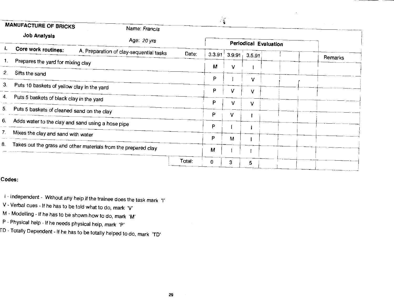| <b>MANUFACTURE OF BRICKS</b>                                 | Name: Francis                                                  |                 | v Hi       |                       |  |         |
|--------------------------------------------------------------|----------------------------------------------------------------|-----------------|------------|-----------------------|--|---------|
| Job Analysis                                                 | Age: 20 yrs                                                    |                 |            | Periodical Evaluation |  |         |
| Core work routines:                                          | A. Preparation of clay-sequential tasks                        | Date:<br>3.3.91 | $3.9.91 +$ | 3.5.91                |  | Remarks |
| Prepares the yard for mixing clay                            |                                                                | М               | ٧          |                       |  |         |
| $\mathbf{2}$ .<br>Sifts the sand                             |                                                                | P               |            |                       |  |         |
| 3 <sub>1</sub><br>Puts 10 baskets of yellow clay in the yard |                                                                |                 |            | v                     |  |         |
| Puts 5 baskets of black clay in the yard                     |                                                                | P               |            | v                     |  |         |
|                                                              |                                                                | P               | v          | v                     |  |         |
| Puts 5 baskets of cleaned sand on the clay                   |                                                                | P               | v          |                       |  |         |
| Adds water to the clay and sand using a hose pipe            |                                                                | P               |            |                       |  |         |
| Mixes the clay and sand with water                           |                                                                | P               |            |                       |  |         |
|                                                              | Takes out the grass and other materials from the prepared clay |                 | M          |                       |  |         |
|                                                              |                                                                | M               |            |                       |  |         |
|                                                              | Total:                                                         | 0               | 3          | 5.                    |  |         |

#### Codes:

- I Independent Without any help if the trainee does the task mark 'I'
- V Verbal cues If he has to be told what to do, mark 'V
- M Modelling If he has to be shown how to do, mark 'M'
- P Physical help If he needs physical help, mark 'P
- ID Totally Dependent If he has to be totally helped to do, mark 'TD'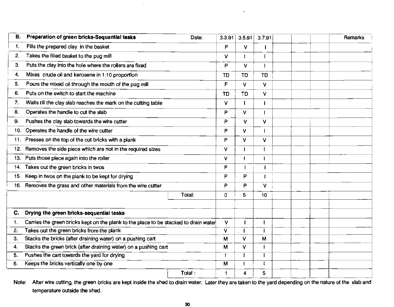| В.             | Preparation of green bricks-Sequential tasks                                         | Date:  |           | $3.3.91$ 3.5.91 | 3.7.91          |  | Remarks |  |
|----------------|--------------------------------------------------------------------------------------|--------|-----------|-----------------|-----------------|--|---------|--|
| 1.             | Fills the prepared clay in the basket                                                |        | P         | v               |                 |  |         |  |
| 2.             | Takes the filled basket to the pug mill                                              |        | v         |                 |                 |  |         |  |
| З.             | Puts the clay into the hole where the rollers are fixed                              |        | P         | V.              |                 |  |         |  |
| 4.             | Mixes crude oil and kerosene in 1:10 proportion                                      |        | <b>TD</b> | TD              | TD              |  |         |  |
| 5.             | Pours the mixed oil through the mouth of the pug mill                                |        | F.        | V.              | V               |  |         |  |
| 6.             | Puts on the switch to start the machine                                              |        | TD        | <b>TD</b>       | V               |  |         |  |
| 7.             | Waits till the clay slab reaches the mark on the cutting table                       |        | v         |                 |                 |  |         |  |
| 8.             | Operates the handle to cut the slab                                                  |        | P         | v               |                 |  |         |  |
| 9.             | Pushes the clay slab towards the wire cutter                                         |        | P         | v               | $\vee$          |  |         |  |
| 10.            | Operates the handle of the wire cutter                                               |        | P         | V               |                 |  |         |  |
|                | 11. Presses on the top of the cut bricks with a plank                                |        | P         | v               | $\vee$          |  |         |  |
| 12.            | Removes the side piece which are not in the required sizes                           |        | v         |                 |                 |  |         |  |
| 13.            | Puts those piece again into the roller                                               |        | v         |                 |                 |  |         |  |
| 14.            | Takes out the green bricks in twos                                                   |        | P         |                 | f,              |  |         |  |
| 15.            | Keep in twos on the plank to be kept for drying                                      |        | P         | P               | $\mathbf{I}$    |  |         |  |
| 16.            | Removes the grass and other materials from the wire cutter                           |        | P         | P               | V.              |  |         |  |
|                |                                                                                      | Total: | 0         | 5.              | 10 <sub>1</sub> |  |         |  |
|                |                                                                                      |        |           |                 |                 |  |         |  |
| C.             | Drying the green bricks-sequential tasks                                             |        |           |                 |                 |  |         |  |
| $\mathbf{1}$ . | Carries the green bricks kept on the plank to the place to be stacked to drain water |        | V.        |                 |                 |  |         |  |
| 2.             | Takes out the green bricks from the plank                                            |        | v         |                 |                 |  |         |  |
| З.             | Stacks the bricks (after draining water) on a pushing cart                           |        | м         | V               | M               |  |         |  |
| $\mathbf{4}$   | Stacks the green brick (after draining water) on a pushing cart                      |        | M         | v               |                 |  |         |  |
| 5.             | Pushes the cart towards the yard for drying                                          |        |           |                 |                 |  |         |  |
| 6.             | Keeps the bricks vertically one by one                                               |        | M         |                 |                 |  |         |  |
|                |                                                                                      | Total: |           | 4               | 5               |  |         |  |

 $\mathcal{L}$ 

Note: After wire cutting, the green bricks are kept inside the shed to drain water. Later they are taken to the yard depending on the nature of the slab and temperature outside the shed.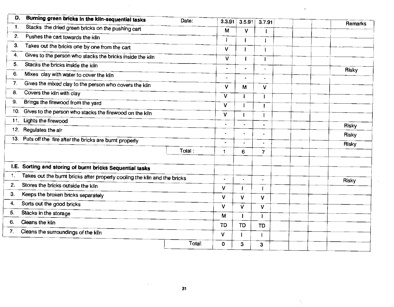| D.             | Burning green bricks in the kiln-sequential tasks                         | Date:  | 3.3.91               | 3.5.91         | 3.7.91                   | Remarks |
|----------------|---------------------------------------------------------------------------|--------|----------------------|----------------|--------------------------|---------|
| $\mathbf{1}$ . | Stacks the dried green bricks on the pushing cart                         |        | M                    | v              |                          |         |
| 2.             | Pushes the cart towards the kiln                                          |        |                      |                |                          |         |
| 3.             | Takes out the bricks one by one from the cart                             |        | v                    |                |                          |         |
| 4.             | Gives to the person who stacks the bricks inside the kiln                 |        | V                    |                |                          |         |
| 5.             | Stacks the bricks inside the kiln                                         |        |                      |                |                          |         |
| 6.             | Mixes clay with water to cover the kiln                                   |        |                      |                | ä,                       | Risky   |
| 7.             | Gives the mixed clay to the person who covers the kiln                    |        | v                    | М              | $\blacksquare$           |         |
| 8.             | Covers the kiln with clay                                                 |        | V                    |                | v                        |         |
| 9.             | Brings the firewood from the yard                                         |        | V                    | $\mathbf{I}$   | $\overline{\phantom{a}}$ |         |
| 10.            | Gives to the person who stacks the firewood on the kiln                   |        |                      |                | I                        |         |
| 11.            | Lights the firewood                                                       |        | $\vee$               | $\mathbf{I}$   | $\overline{\phantom{a}}$ |         |
| 12.            | Regulates the air                                                         |        | ÷.                   | $\blacksquare$ | ÷                        | Risky   |
|                |                                                                           |        |                      | $\blacksquare$ | ÷                        | Risky   |
|                | 13. Puts off the fire after the bricks are burnt properly                 |        |                      | $\blacksquare$ | ä,                       | Risky   |
|                |                                                                           | Total: | $\blacktriangleleft$ | 6              | 7                        |         |
|                | I.E. Sorting and storing of burnt bricks Sequential tasks                 |        |                      |                |                          |         |
| 1.             | Takes out the burnt bricks after properly cooling the kiln and the bricks |        | $\blacksquare$       | $\bullet$      | $\blacksquare$           |         |
| 2.             | Stores the bricks outside the kiln                                        |        | V                    |                | f                        | Risky   |
| 3.             | Keeps the broken bricks separately                                        |        | $\mathbf{V}$         | V              | ٧                        |         |
| 4.             | Sorts out the good bricks                                                 |        | V                    | V              | ٧                        |         |
| 5.             | Stacks in the storage                                                     |        | M                    |                |                          |         |
| 6.             | Cleans the kiln                                                           |        | TD                   | <b>TD</b>      | TD                       |         |
| 7.             | Cleans the surroundings of the kiln                                       |        | V                    |                |                          |         |
|                |                                                                           | Total: | $\bf{0}$             | 3              | 3                        |         |
|                |                                                                           |        |                      |                |                          |         |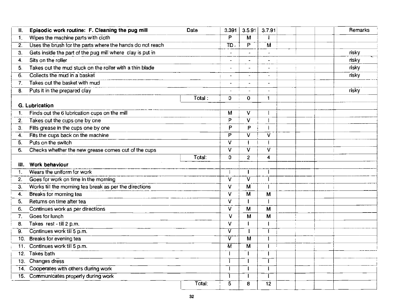| Episodic work routine: F. Cleaning the pug mill<br>П.           | Date   | 3.391                   | 3.5.91                  | 3.7.91                   | Remarks |
|-----------------------------------------------------------------|--------|-------------------------|-------------------------|--------------------------|---------|
| Wipes the machine parts with cloth<br>$1_{-}$                   |        | P                       | $\overline{\mathsf{M}}$ |                          |         |
| Uses the brush for the parts where the hands do not reach<br>2. |        | $\overline{TD}$ .       | $\overline{\mathsf{P}}$ | $\overline{\mathsf{M}}$  |         |
| Gets inside the part of the pug mill where clay is put in<br>З. |        |                         |                         |                          | risky   |
| Sits on the roller<br>4.                                        |        |                         |                         | $\tilde{\phantom{a}}$    | risky   |
| Takes out the mud stuck on the roller with a thin blade<br>5.   |        |                         |                         |                          | risky   |
| Collects the mud in a basket<br>6.                              |        | $\overline{a}$          |                         |                          | risky   |
| Takes out the basket with mud<br>7.                             |        | $\blacksquare$          |                         | $\blacksquare$           |         |
| Puts it in the prepared clay<br>8.                              |        | $\blacksquare$          |                         | $\overline{\phantom{a}}$ | risky   |
|                                                                 | Total: | 0                       | $\mathbf{0}$            | $\mathbf{1}$             |         |
| <b>G. Lubrication</b>                                           |        |                         |                         |                          |         |
| Finds out the 6 lubrication cups on the mill<br>1 <sub>1</sub>  |        | м                       | v                       |                          |         |
| Takes out the cups one by one<br>2.                             |        | P                       | V                       |                          |         |
| Fills grease in the cups one by one<br>З.                       |        | P                       | P                       |                          |         |
| Fits the cups back on the machine<br>4.                         |        | P                       | $\overline{\mathsf{v}}$ | $\overline{\mathsf{v}}$  |         |
| Puts on the switch<br>5.                                        |        | v                       | 1                       |                          |         |
| Checks whether the new grease comes out of the cups<br>6.       |        | V                       | $\overline{\mathsf{v}}$ | $\overline{\mathsf{v}}$  |         |
|                                                                 | Total: | 0                       | $\overline{c}$          | 4                        |         |
| Work behaviour<br>Ш.                                            |        |                         |                         |                          |         |
| Wears the uniform for work<br>$\mathbf{1}$ .                    |        |                         | $\mathbf{I}$            |                          |         |
| Goes for work on time in the morning<br>2.                      |        | V                       | $\overline{\mathsf{v}}$ |                          |         |
| Works till the morning tea break as per the directions<br>3.    |        | V                       | $\overline{\mathsf{M}}$ |                          |         |
| Breaks for morning tea<br>4.                                    |        | V                       | $\overline{\mathsf{M}}$ | M                        |         |
| Returns on time after tea<br>5.                                 |        | V                       | $\mathbf{I}$            |                          |         |
| Continues work as per directions<br>6.                          |        | V                       | M                       | M                        |         |
| Goes for lunch<br>7.                                            |        | V                       | M                       | M                        |         |
| Takes rest - till 2 p.m.<br>8.                                  |        | v                       |                         |                          |         |
| Continues work till 5 p.m.<br>9.                                |        | v                       |                         | 1                        |         |
| Breaks for evening tea<br>10.                                   |        | $\overline{\mathsf{v}}$ | $\overline{\mathsf{M}}$ | 1                        |         |
| Continues work till 5 p.m.<br>11 <sub>1</sub>                   |        | $\overline{M}$          | $\overline{\mathsf{M}}$ | I                        |         |
| Takes bath<br>12 <sub>1</sub>                                   |        |                         |                         |                          |         |
| Changes dress<br>13 <sub>1</sub>                                |        |                         |                         |                          |         |
| Cooperates with others during work<br>$\overline{14}$ .         |        |                         |                         |                          |         |
| 15. Communicates properly during work                           |        |                         |                         |                          |         |
|                                                                 | Total: | $\overline{5}$          | 8                       | $\overline{12}$          |         |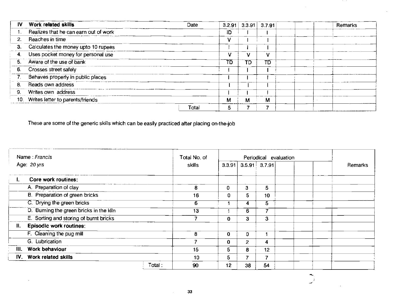| IV.        | Work related skills                   | Date  |    |    | $3.2.91$ 3.3.91 3.7.91 | Remarks |
|------------|---------------------------------------|-------|----|----|------------------------|---------|
|            | Realizes that he can earn out of work |       | ID |    |                        |         |
| 2.         | Reaches in time                       |       |    |    |                        |         |
| 3.         | Calculates the money upto 10 rupees   |       |    |    |                        |         |
| <b>4</b> . | Uses pocket money for personal use    |       |    |    | ν                      |         |
| 5.         | Aware of the use of bank              |       | TD | TD | םד                     |         |
|            | 6. Crosses street safely              |       |    |    |                        |         |
|            | Behaves properly in public places     |       |    |    |                        |         |
| 8.         | Reads own address                     |       |    |    |                        |         |
| 9.         | Writes own address                    |       |    |    |                        |         |
|            | 10. Writes letter to parents/friends  |       | м  | м  | м                      |         |
|            |                                       | Total | 5  |    |                        |         |

 $\mathcal{L}$ 

 $\bar{\omega}$ 

These are some of the generic skills which can be easily practiced after placing on-the-job

| Name: Francis                                 |        | Total No. of |              | Periodical evaluation      |                  |  |         |
|-----------------------------------------------|--------|--------------|--------------|----------------------------|------------------|--|---------|
| Age: 20 yrs                                   |        | skills       |              | $3.3.91$ $3.5.91$ $3.7.91$ |                  |  | Remarks |
| Core work routines:                           |        |              |              |                            |                  |  |         |
| A. Preparation of clay                        |        | 8            | 0            | 3                          | 5                |  |         |
| B. Preparation of green bricks                |        | 16           | 0            | 5.                         | 10 <sup>°</sup>  |  |         |
| C. Drying the green bricks                    |        | 6            |              | 4                          | 5                |  |         |
| D. Burning the green bricks in the kiln       |        | 13           |              | 6.                         | 7                |  |         |
| E. Sorting and storing of burnt bricks        |        | 7            | $\mathbf{0}$ | 3                          | 3                |  |         |
| <b>Episodic work routines:</b><br>$H_{\star}$ |        |              |              |                            |                  |  |         |
| F. Cleaning the pug mill                      |        | 8            | $\mathbf{0}$ | 0                          |                  |  |         |
| G. Lubrication                                |        | 7            | $\Omega$     | $\overline{2}$             | $\boldsymbol{4}$ |  |         |
| 111.<br>Work behaviour                        |        | 15           | 5.           | 8                          | 12 <sub>2</sub>  |  |         |
| IV. Work related skills                       |        | 10           | 5.           | т.                         | $\overline{ }$   |  |         |
|                                               | Total: | 90           | 12           | 38                         | 54               |  |         |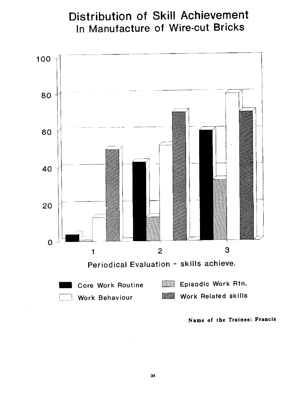### Distribution of Skill Achievement In Manufacture of Wire-cut Bricks



Name of the Trainee; Erancis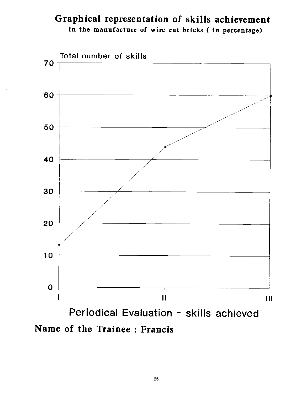### Graphical representation of skills achievement in the manufacture of wire cut bricks ( in percentage)



Name of the Trainee : Francis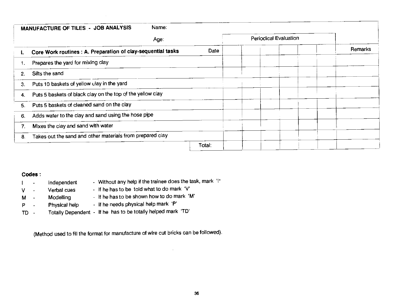|    | Name:<br>MANUFACTURE OF TILES - JOB ANALYSIS                 |        |                              |         |
|----|--------------------------------------------------------------|--------|------------------------------|---------|
|    | Age:                                                         |        | <b>Periodical Evaluation</b> |         |
| ь. | Core Work routines : A. Preparation of clay-sequential tasks | Date   |                              | Remarks |
|    | Prepares the yard for mixing clay                            |        |                              |         |
| 2. | Sifts the sand                                               |        |                              |         |
| З. | Puts 10 baskets of yellow clay in the yard                   |        |                              |         |
| 4. | Puts 5 baskets of black clay on the top of the yellow clay   |        |                              |         |
| 5. | Puts 5 baskets of cleaned sand on the clay                   |        |                              |         |
| 6. | Adds water to the clay and sand using the hose pipe          |        |                              |         |
|    | Mixes the clay and sand with water                           |        |                              |         |
| 8. | Takes out the sand and other materials from prepared clay    |        |                              |         |
|    |                                                              | Total: |                              |         |

#### Codes:

| $\mathbf{1}$ and $\mathbf{1}$ | Independent      | - Without any help if the trainee does the task, mark 'I"    |
|-------------------------------|------------------|--------------------------------------------------------------|
| $V - -$                       | Verbal cues      | - If he has to be told what to do mark 'V'                   |
| M -                           | <b>Modelling</b> | - If he has to be shown how to do mark 'M'                   |
| $P \cdot$                     | Physical help    | - If he needs physical help mark 'P'                         |
| TD -                          |                  | Totally Dependent - If he has to be totally helped mark 'TD' |

 $\sim$ 

(Method used to fill the format for manufacture of wire cut bricks can be followed).

 $\sim$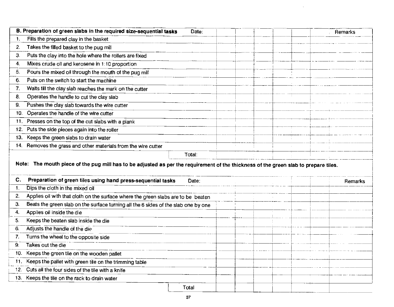| B. Preparation of green slabs in the required size-sequential tasks<br>Date:                                                                                                                                     |  | Remarks |
|------------------------------------------------------------------------------------------------------------------------------------------------------------------------------------------------------------------|--|---------|
| Fills the prepared clay in the basket                                                                                                                                                                            |  |         |
| Takes the filled basket to the pug mill<br>2.                                                                                                                                                                    |  |         |
| Puts the clay into the hole where the rollers are fixed<br>З.                                                                                                                                                    |  |         |
| Mixes crude oil and kerosene in 1:10 proportion<br>$\overline{4}$                                                                                                                                                |  |         |
| Pours the mixed oil through the mouth of the pug mill<br>5.                                                                                                                                                      |  |         |
| Puts on the switch to start the machine<br>6.                                                                                                                                                                    |  |         |
| 7.<br>Waits till the clay slab reaches the mark on the cutter                                                                                                                                                    |  |         |
| Operates the handle to cut the clay slab<br>8.                                                                                                                                                                   |  |         |
| Pushes the clay slab towards the wire cutter<br>9.                                                                                                                                                               |  |         |
| Operates the handle of the wire cutter<br>10.                                                                                                                                                                    |  |         |
| Presses on the top of the cut slabs with a plank<br>11.                                                                                                                                                          |  |         |
| 12. Puts the side pieces again into the roller                                                                                                                                                                   |  |         |
| Keeps the green slabs to drain water<br>13.                                                                                                                                                                      |  |         |
|                                                                                                                                                                                                                  |  |         |
| 14. Removes the grass and other materials from the wire cutter<br>Total:<br>Note: The mouth piece of the pug mill has to be adjusted as per the requirement of the thickness of the green slab to prepare tiles. |  |         |
| C.<br>Date:                                                                                                                                                                                                      |  |         |
| Preparation of green tiles using hand press-sequential tasks<br>Dips the cloth in the mixed oil<br>$\mathbf{1}$ .                                                                                                |  | Remarks |
| 2.<br>Applies oil with that cloth on the surface where the green slabs are to be beaten                                                                                                                          |  |         |
| Beats the green slab on the surface turning all the 6 sides of the slab one by one<br>З.                                                                                                                         |  |         |
| Applies oil inside the die<br>4.                                                                                                                                                                                 |  |         |
| 5.<br>Keeps the beaten slab inside the die                                                                                                                                                                       |  |         |
| Adjusts the handle of the die<br>6.                                                                                                                                                                              |  |         |
| Turns the wheel to the opposite side<br>7.                                                                                                                                                                       |  |         |
| Takes out the die<br>9.                                                                                                                                                                                          |  |         |
| 10. Keeps the green tile on the wooden pallet                                                                                                                                                                    |  |         |
| 11. Keeps the pallet with green tile on the trimming table                                                                                                                                                       |  |         |
| 12. Cuts all the four sides of the tile with a knife                                                                                                                                                             |  |         |
| 13. Keeps the tile on the rack to drain water                                                                                                                                                                    |  |         |

 $\sim$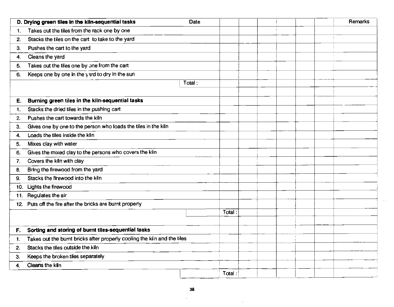|                                         | D. Drying green tiles in the kiln-sequential tasks                       | Date   |        |  |  | Remarks |
|-----------------------------------------|--------------------------------------------------------------------------|--------|--------|--|--|---------|
| $\mathbf{1}$ .                          | Takes out the tiles from the rack one by one                             |        |        |  |  |         |
| 2.                                      | Stacks the tiles on the cart to take to the yard                         |        |        |  |  |         |
| Pushes the cart to the yard<br>3.       |                                                                          |        |        |  |  |         |
| Cleans the yard<br>4.                   |                                                                          |        |        |  |  |         |
| 5.                                      | Takes out the tiles one by one from the cart                             |        |        |  |  |         |
| 6.                                      | Keeps one by one in the yard to dry in the sun                           |        |        |  |  |         |
|                                         |                                                                          | Total: |        |  |  |         |
|                                         |                                                                          |        |        |  |  |         |
| Е.                                      | Burning green tiles in the kiln-sequential tasks                         |        |        |  |  |         |
| 1.                                      | Stacks the dried tiles in the pushing cart                               |        |        |  |  |         |
| Pushes the cart towards the kiln<br>2.  |                                                                          |        |        |  |  |         |
| 3.                                      | Gives one by one to the person who loads the tiles in the kiln           |        |        |  |  |         |
| Loads the tiles inside the kiln<br>4.   |                                                                          |        |        |  |  |         |
| Mixes clay with water<br>5.             |                                                                          |        |        |  |  |         |
| 6.                                      | Gives the mixed clay to the persons who covers the kiln                  |        |        |  |  |         |
| Covers the kiln with clay<br>7.         |                                                                          |        |        |  |  |         |
| Bring the firewood from the yard<br>8.  |                                                                          |        |        |  |  |         |
| Stacks the firewood into the kiln<br>9. |                                                                          |        |        |  |  |         |
| Lights the firewood<br>10.              |                                                                          |        |        |  |  |         |
| Regulates the air<br>11.                |                                                                          |        |        |  |  |         |
|                                         | 12. Puts off the fire after the bricks are burnt properly                |        |        |  |  |         |
|                                         |                                                                          |        | Total: |  |  |         |
|                                         |                                                                          |        |        |  |  |         |
| F.                                      | Sorting and storing of burnt tiles-sequential tasks                      |        |        |  |  |         |
| 1.                                      | Takes out the burnt bricks after properly cooling the kiln and the tiles |        |        |  |  |         |
| Stacks the tiles outside the kiln<br>2. |                                                                          |        |        |  |  |         |
| Keeps the broken tiles separately<br>3. |                                                                          |        |        |  |  |         |
| Cleans the kiln<br>4.                   |                                                                          |        |        |  |  |         |
|                                         |                                                                          |        | Total: |  |  |         |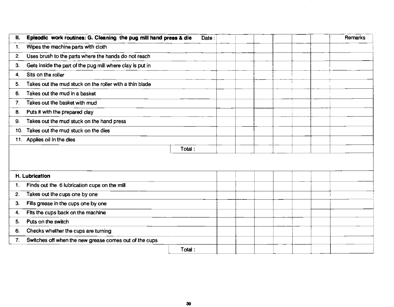| Episodic work routines: G. Cleaning the pug mill hand press & die<br>II. | Date:  |  | Remarks |
|--------------------------------------------------------------------------|--------|--|---------|
| Wipes the machine parts with cloth<br>п.                                 |        |  |         |
| Uses brush to the parts where the hands do not reach<br>2.               |        |  |         |
| Gets inside the part of the pug mill where clay is put in<br>3.          |        |  |         |
| Sits on the roller<br>4.                                                 |        |  |         |
| Takes out the mud stuck on the roller with a thin blade<br>5.            |        |  |         |
| Takes out the mud in a basket<br>6.                                      |        |  |         |
| Takes out the basket with mud<br>7.                                      |        |  |         |
| Puts it with the prepared clay<br>8.                                     |        |  |         |
| Takes out the mud stuck on the hand press<br>9.                          |        |  |         |
| Takes out the mud stuck on the dies<br>10.                               |        |  |         |
| 11. Applies oil in the dies                                              |        |  |         |
|                                                                          | Total: |  |         |
| H. Lubrication                                                           |        |  |         |
| Finds out the 6 lubrication cups on the mill<br>1.                       |        |  |         |
| Takes out the cups one by one<br>2.                                      |        |  |         |
| Fills grease in the cups one by one<br>3.                                |        |  |         |
| Fits the cups back on the machine<br>4.                                  |        |  |         |
| Puts on the switch<br>5.                                                 |        |  |         |
| Checks whether the cups are turning<br>6.                                |        |  |         |
| Switches off when the new grease comes out of the cups<br>7.             |        |  |         |
|                                                                          | Total: |  |         |

 $\mathcal{L}$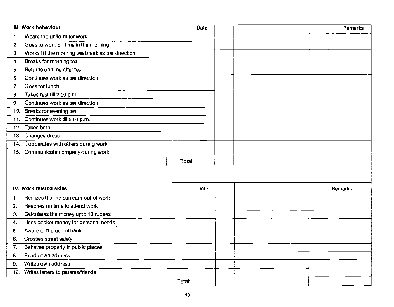| Wears the uniform for work<br>$\mathbf{1}$ .<br>Goes to work on time in the morning<br>2.<br>Works till the morning tea break as per direction<br>3.<br>Breaks for morning tea<br>4.<br>Returns on time after tea<br>5.<br>Continues work as per direction<br>6.<br>Goes for lunch<br>7.<br>Takes rest till 2.00 p.m.<br>8.<br>Continues work as per direction<br>9.<br>Breaks for evening tea<br>10.<br>Continues work till 5.00 p.m.<br>11.<br><b>Takes bath</b><br>12.<br>13. Changes dress<br>14. Cooperates with others during work<br>15. Communicates properly during work<br>Total<br>IV. Work related skills<br>Date:<br>Remarks<br>Realizes that he can earn out of work<br>$\mathbf{1}$<br>Reaches on time to attend work<br>2.<br>Calculates the money upto 10 rupees<br>3.<br>Uses pocket money for personal needs<br>4.<br>Aware of the use of bank<br>5.<br>Crosses street safely<br>6.<br>Behaves properly in public places<br>7.<br>Reads own address<br>8.<br>Writes own address<br>9.<br>Writes letters to parents/friends<br>10.<br>Total: | III. Work behaviour | Date |  | Remarks |
|----------------------------------------------------------------------------------------------------------------------------------------------------------------------------------------------------------------------------------------------------------------------------------------------------------------------------------------------------------------------------------------------------------------------------------------------------------------------------------------------------------------------------------------------------------------------------------------------------------------------------------------------------------------------------------------------------------------------------------------------------------------------------------------------------------------------------------------------------------------------------------------------------------------------------------------------------------------------------------------------------------------------------------------------------------------|---------------------|------|--|---------|
|                                                                                                                                                                                                                                                                                                                                                                                                                                                                                                                                                                                                                                                                                                                                                                                                                                                                                                                                                                                                                                                                |                     |      |  |         |
|                                                                                                                                                                                                                                                                                                                                                                                                                                                                                                                                                                                                                                                                                                                                                                                                                                                                                                                                                                                                                                                                |                     |      |  |         |
|                                                                                                                                                                                                                                                                                                                                                                                                                                                                                                                                                                                                                                                                                                                                                                                                                                                                                                                                                                                                                                                                |                     |      |  |         |
|                                                                                                                                                                                                                                                                                                                                                                                                                                                                                                                                                                                                                                                                                                                                                                                                                                                                                                                                                                                                                                                                |                     |      |  |         |
|                                                                                                                                                                                                                                                                                                                                                                                                                                                                                                                                                                                                                                                                                                                                                                                                                                                                                                                                                                                                                                                                |                     |      |  |         |
|                                                                                                                                                                                                                                                                                                                                                                                                                                                                                                                                                                                                                                                                                                                                                                                                                                                                                                                                                                                                                                                                |                     |      |  |         |
|                                                                                                                                                                                                                                                                                                                                                                                                                                                                                                                                                                                                                                                                                                                                                                                                                                                                                                                                                                                                                                                                |                     |      |  |         |
|                                                                                                                                                                                                                                                                                                                                                                                                                                                                                                                                                                                                                                                                                                                                                                                                                                                                                                                                                                                                                                                                |                     |      |  |         |
|                                                                                                                                                                                                                                                                                                                                                                                                                                                                                                                                                                                                                                                                                                                                                                                                                                                                                                                                                                                                                                                                |                     |      |  |         |
|                                                                                                                                                                                                                                                                                                                                                                                                                                                                                                                                                                                                                                                                                                                                                                                                                                                                                                                                                                                                                                                                |                     |      |  |         |
|                                                                                                                                                                                                                                                                                                                                                                                                                                                                                                                                                                                                                                                                                                                                                                                                                                                                                                                                                                                                                                                                |                     |      |  |         |
|                                                                                                                                                                                                                                                                                                                                                                                                                                                                                                                                                                                                                                                                                                                                                                                                                                                                                                                                                                                                                                                                |                     |      |  |         |
|                                                                                                                                                                                                                                                                                                                                                                                                                                                                                                                                                                                                                                                                                                                                                                                                                                                                                                                                                                                                                                                                |                     |      |  |         |
|                                                                                                                                                                                                                                                                                                                                                                                                                                                                                                                                                                                                                                                                                                                                                                                                                                                                                                                                                                                                                                                                |                     |      |  |         |
|                                                                                                                                                                                                                                                                                                                                                                                                                                                                                                                                                                                                                                                                                                                                                                                                                                                                                                                                                                                                                                                                |                     |      |  |         |
|                                                                                                                                                                                                                                                                                                                                                                                                                                                                                                                                                                                                                                                                                                                                                                                                                                                                                                                                                                                                                                                                |                     |      |  |         |
|                                                                                                                                                                                                                                                                                                                                                                                                                                                                                                                                                                                                                                                                                                                                                                                                                                                                                                                                                                                                                                                                |                     |      |  |         |
|                                                                                                                                                                                                                                                                                                                                                                                                                                                                                                                                                                                                                                                                                                                                                                                                                                                                                                                                                                                                                                                                |                     |      |  |         |
|                                                                                                                                                                                                                                                                                                                                                                                                                                                                                                                                                                                                                                                                                                                                                                                                                                                                                                                                                                                                                                                                |                     |      |  |         |
|                                                                                                                                                                                                                                                                                                                                                                                                                                                                                                                                                                                                                                                                                                                                                                                                                                                                                                                                                                                                                                                                |                     |      |  |         |
|                                                                                                                                                                                                                                                                                                                                                                                                                                                                                                                                                                                                                                                                                                                                                                                                                                                                                                                                                                                                                                                                |                     |      |  |         |
|                                                                                                                                                                                                                                                                                                                                                                                                                                                                                                                                                                                                                                                                                                                                                                                                                                                                                                                                                                                                                                                                |                     |      |  |         |
|                                                                                                                                                                                                                                                                                                                                                                                                                                                                                                                                                                                                                                                                                                                                                                                                                                                                                                                                                                                                                                                                |                     |      |  |         |
|                                                                                                                                                                                                                                                                                                                                                                                                                                                                                                                                                                                                                                                                                                                                                                                                                                                                                                                                                                                                                                                                |                     |      |  |         |
|                                                                                                                                                                                                                                                                                                                                                                                                                                                                                                                                                                                                                                                                                                                                                                                                                                                                                                                                                                                                                                                                |                     |      |  |         |
|                                                                                                                                                                                                                                                                                                                                                                                                                                                                                                                                                                                                                                                                                                                                                                                                                                                                                                                                                                                                                                                                |                     |      |  |         |
|                                                                                                                                                                                                                                                                                                                                                                                                                                                                                                                                                                                                                                                                                                                                                                                                                                                                                                                                                                                                                                                                |                     |      |  |         |
|                                                                                                                                                                                                                                                                                                                                                                                                                                                                                                                                                                                                                                                                                                                                                                                                                                                                                                                                                                                                                                                                |                     |      |  |         |
|                                                                                                                                                                                                                                                                                                                                                                                                                                                                                                                                                                                                                                                                                                                                                                                                                                                                                                                                                                                                                                                                |                     |      |  |         |
|                                                                                                                                                                                                                                                                                                                                                                                                                                                                                                                                                                                                                                                                                                                                                                                                                                                                                                                                                                                                                                                                |                     |      |  |         |

 $\mathcal{A}^{\mathcal{A}}$